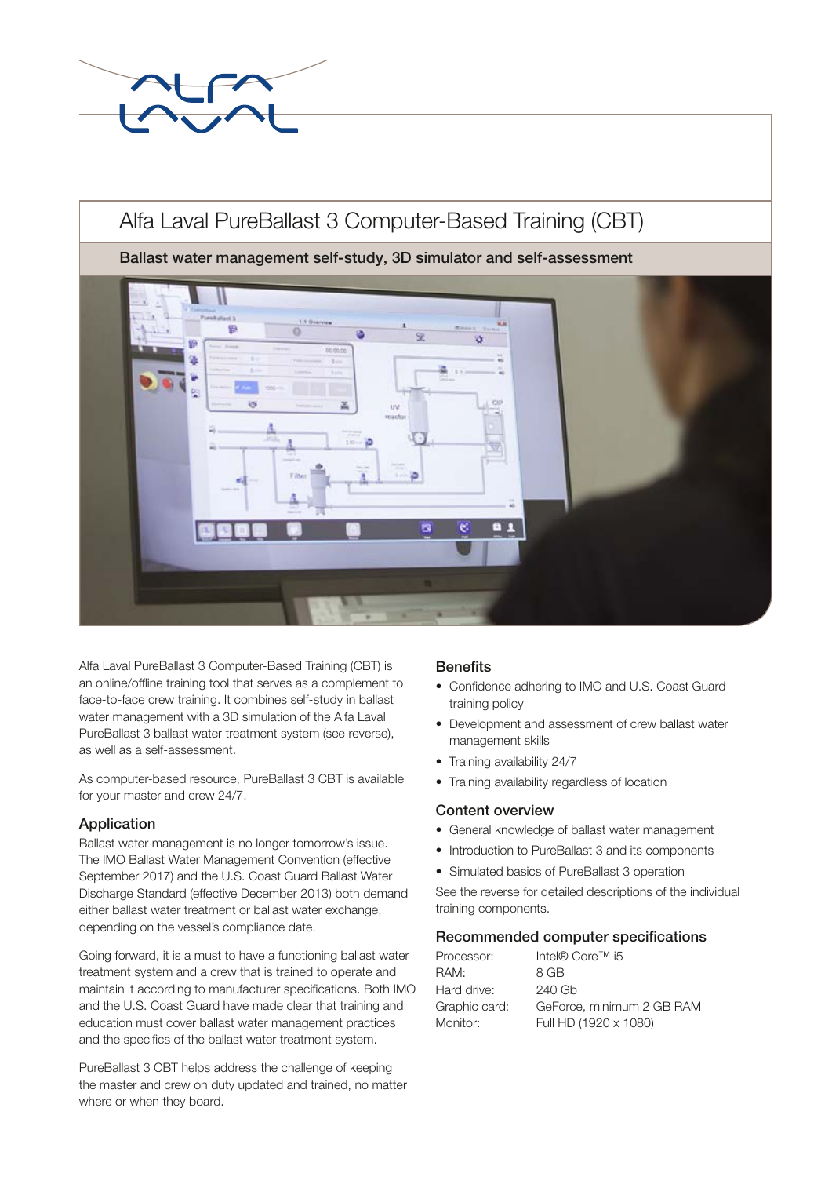

# Alfa Laval PureBallast 3 Computer-Based Training (CBT)

Ballast water management self-study, 3D simulator and self-assessment



Alfa Laval PureBallast 3 Computer-Based Training (CBT) is an online/offline training tool that serves as a complement to face-to-face crew training. It combines self-study in ballast water management with a 3D simulation of the Alfa Laval PureBallast 3 ballast water treatment system (see reverse), as well as a self-assessment.

As computer-based resource, PureBallast 3 CBT is available for your master and crew 24/7.

## Application

Ballast water management is no longer tomorrow's issue. The IMO Ballast Water Management Convention (effective September 2017) and the U.S. Coast Guard Ballast Water Discharge Standard (effective December 2013) both demand either ballast water treatment or ballast water exchange, depending on the vessel's compliance date.

Going forward, it is a must to have a functioning ballast water treatment system and a crew that is trained to operate and maintain it according to manufacturer specifications. Both IMO and the U.S. Coast Guard have made clear that training and education must cover ballast water management practices and the specifics of the ballast water treatment system.

PureBallast 3 CBT helps address the challenge of keeping the master and crew on duty updated and trained, no matter where or when they board.

## **Benefits**

- Confidence adhering to IMO and U.S. Coast Guard training policy
- Development and assessment of crew ballast water management skills
- Training availability 24/7
- Training availability regardless of location

## Content overview

- General knowledge of ballast water management
- Introduction to PureBallast 3 and its components
- Simulated basics of PureBallast 3 operation

See the reverse for detailed descriptions of the individual training components.

## Recommended computer specifications

| Processor:    | Intel® Core™ i5           |
|---------------|---------------------------|
| RAM:          | 8 GB                      |
| Hard drive:   | 240 Gb                    |
| Graphic card: | GeForce, minimum 2 GB RAM |
| Monitor:      | Full HD (1920 x 1080)     |